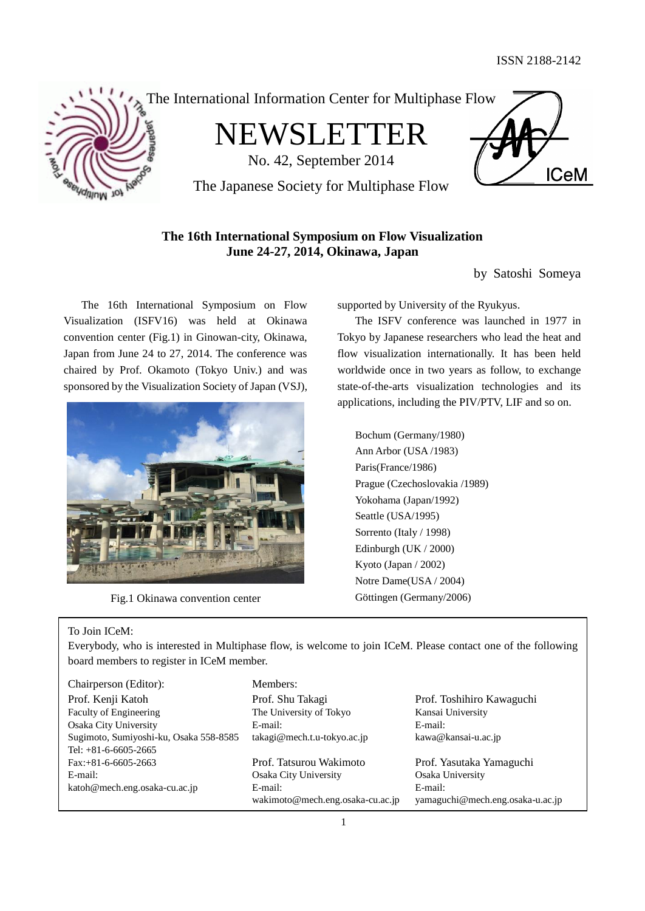

The International Information Center for Multiphase Flow

NEWSLETTER

No. 42, September 2014



The Japanese Society for Multiphase Flow

# **The 16th International Symposium on Flow Visualization June 24-27, 2014, Okinawa, Japan**

by Satoshi Someya

The 16th International Symposium on Flow Visualization (ISFV16) was held at Okinawa convention center (Fig.1) in Ginowan-city, Okinawa, Japan from June 24 to 27, 2014. The conference was chaired by Prof. Okamoto (Tokyo Univ.) and was sponsored by the Visualization Society of Japan (VSJ),



Fig.1 Okinawa convention center Göttingen (Germany/2006)

supported by University of the Ryukyus.

The ISFV conference was launched in 1977 in Tokyo by Japanese researchers who lead the heat and flow visualization internationally. It has been held worldwide once in two years as follow, to exchange state-of-the-arts visualization technologies and its applications, including the PIV/PTV, LIF and so on.

Bochum (Germany/1980) Ann Arbor (USA /1983) Paris(France/1986) Prague (Czechoslovakia /1989) Yokohama (Japan/1992) Seattle (USA/1995) Sorrento (Italy / 1998) Edinburgh (UK / 2000) Kyoto (Japan / 2002) Notre Dame(USA / 2004)

## To Join ICeM:

Everybody, who is interested in Multiphase flow, is welcome to join ICeM. Please contact one of the following board members to register in ICeM member.

Chairperson (Editor): Members: Prof. Kenji Katoh Prof. Shu Takagi Prof. Toshihiro Kawaguchi Faculty of Engineering The University of Tokyo Kansai University Osaka City University E-mail: E-mail: Sugimoto, Sumiyoshi-ku, Osaka 558-8585 takagi@mech.t.u-tokyo.ac.jp kawa@kansai-u.ac.jp Tel: +81-6-6605-2665 Fax:+81-6-6605-2663 Prof. Tatsurou Wakimoto Prof. Yasutaka Yamaguchi E-mail: Osaka City University Osaka University katoh@mech.eng.osaka-cu.ac.jp E-mail: E-mail: E-mail:

wakimoto@mech.eng.osaka-cu.ac.jp yamaguchi@mech.eng.osaka-u.ac.jp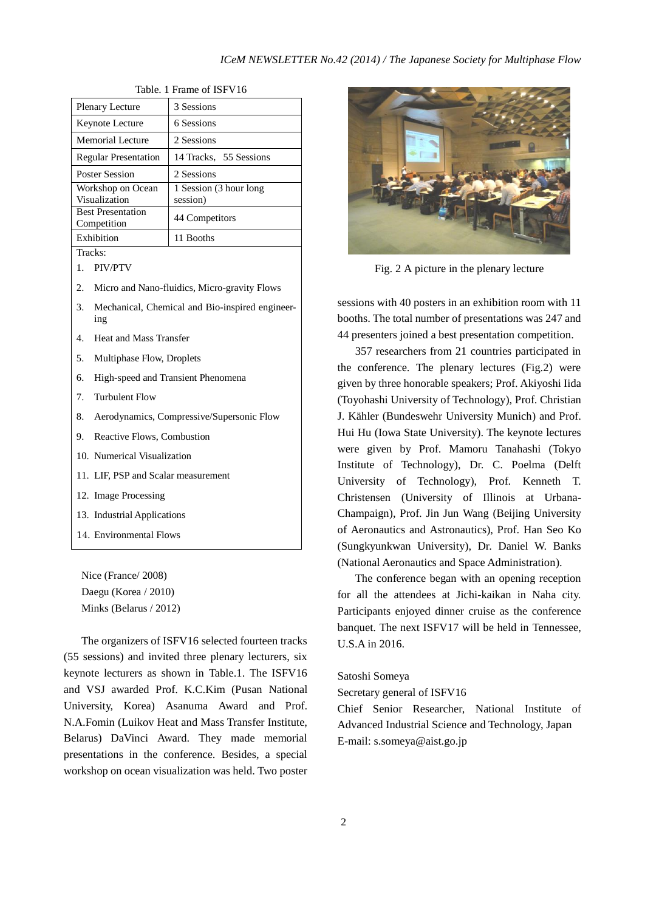| Plenary Lecture                         | 3 Sessions                         |  |
|-----------------------------------------|------------------------------------|--|
| <b>Keynote Lecture</b>                  | 6 Sessions                         |  |
| Memorial Lecture                        | 2 Sessions                         |  |
| <b>Regular Presentation</b>             | 14 Tracks, 55 Sessions             |  |
| <b>Poster Session</b>                   | 2 Sessions                         |  |
| Workshop on Ocean<br>Visualization      | 1 Session (3 hour long<br>session) |  |
| <b>Best Presentation</b><br>Competition | 44 Competitors                     |  |
| Exhibition                              | 11 Booths                          |  |
| Tracks <sup>.</sup>                     |                                    |  |

Table. 1 Frame of ISFV16

1. PIV/PTV

2. Micro and Nano-fluidics, Micro-gravity Flows

- 3. Mechanical, Chemical and Bio-inspired engineering
- 4. Heat and Mass Transfer
- 5. Multiphase Flow, Droplets
- 6. High-speed and Transient Phenomena
- 7. Turbulent Flow
- 8. Aerodynamics, Compressive/Supersonic Flow
- 9. Reactive Flows, Combustion
- 10. Numerical Visualization
- 11. LIF, PSP and Scalar measurement
- 12. Image Processing
- 13. Industrial Applications
- 14. Environmental Flows

Nice (France/ 2008) Daegu (Korea / 2010) Minks (Belarus / 2012)

The organizers of ISFV16 selected fourteen tracks (55 sessions) and invited three plenary lecturers, six keynote lecturers as shown in Table.1. The ISFV16 and VSJ awarded Prof. K.C.Kim (Pusan National University, Korea) Asanuma Award and Prof. N.A.Fomin (Luikov Heat and Mass Transfer Institute, Belarus) DaVinci Award. They made memorial presentations in the conference. Besides, a special workshop on ocean visualization was held. Two poster



Fig. 2 A picture in the plenary lecture

sessions with 40 posters in an exhibition room with 11 booths. The total number of presentations was 247 and 44 presenters joined a best presentation competition.

357 researchers from 21 countries participated in the conference. The plenary lectures (Fig.2) were given by three honorable speakers; Prof. Akiyoshi Iida (Toyohashi University of Technology), Prof. Christian J. Kähler (Bundeswehr University Munich) and Prof. Hui Hu (Iowa State University). The keynote lectures were given by Prof. Mamoru Tanahashi (Tokyo Institute of Technology), Dr. C. Poelma (Delft University of Technology), Prof. Kenneth T. Christensen (University of Illinois at Urbana-Champaign), Prof. Jin Jun Wang (Beijing University of Aeronautics and Astronautics), Prof. Han Seo Ko (Sungkyunkwan University), Dr. Daniel W. Banks (National Aeronautics and Space Administration).

The conference began with an opening reception for all the attendees at Jichi-kaikan in Naha city. Participants enjoyed dinner cruise as the conference banquet. The next ISFV17 will be held in Tennessee, U.S.A in 2016.

#### Satoshi Someya

Secretary general of ISFV16

Chief Senior Researcher, National Institute of Advanced Industrial Science and Technology, Japan E-mail: s.someya@aist.go.jp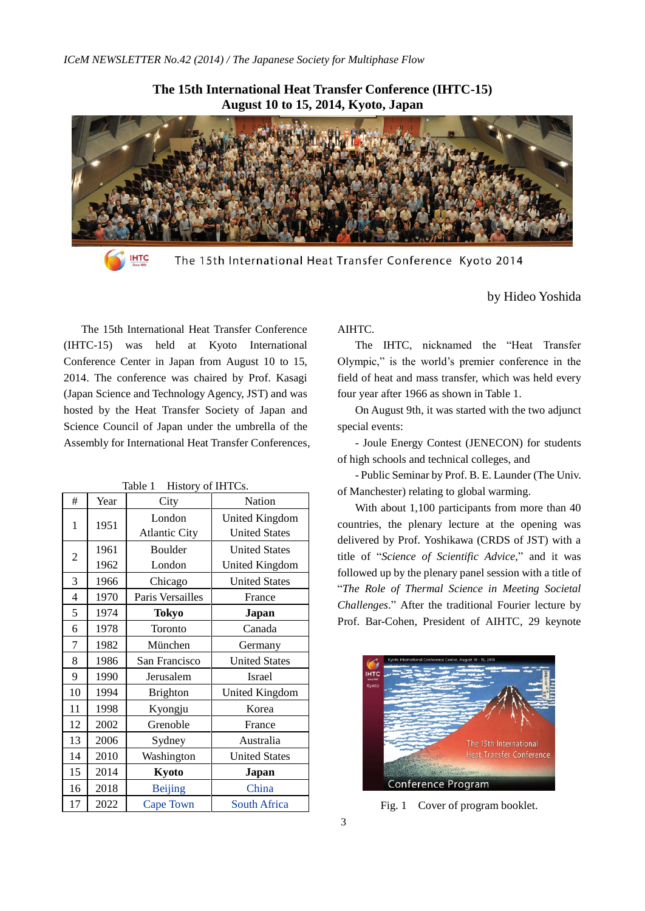

**The 15th International Heat Transfer Conference (IHTC-15)**

**IHTC** 

The 15th International Heat Transfer Conference Kyoto 2014

The 15th International Heat Transfer Conference (IHTC-15) was held at Kyoto International Conference Center in Japan from August 10 to 15, 2014. The conference was chaired by Prof. Kasagi (Japan Science and Technology Agency, JST) and was hosted by the Heat Transfer Society of Japan and Science Council of Japan under the umbrella of the Assembly for International Heat Transfer Conferences,

| #              | Year | City                 | Nation               |
|----------------|------|----------------------|----------------------|
| 1              | 1951 | London               | United Kingdom       |
|                |      | <b>Atlantic City</b> | <b>United States</b> |
| 2              | 1961 | Boulder              | <b>United States</b> |
|                | 1962 | London               | United Kingdom       |
| 3              | 1966 | Chicago              | <b>United States</b> |
| $\overline{4}$ | 1970 | Paris Versailles     | France               |
| 5              | 1974 | <b>Tokyo</b>         | Japan                |
| 6              | 1978 | Toronto              | Canada               |
| 7              | 1982 | München              | Germany              |
| 8              | 1986 | San Francisco        | <b>United States</b> |
| 9              | 1990 | Jerusalem            | Israel               |
| 10             | 1994 | <b>Brighton</b>      | United Kingdom       |
| 11             | 1998 | Kyongju              | Korea                |
| 12             | 2002 | Grenoble             | France               |
| 13             | 2006 | Sydney               | Australia            |
| 14             | 2010 | Washington           | <b>United States</b> |
| 15             | 2014 | Kyoto                | Japan                |
| 16             | 2018 | <b>Beijing</b>       | China                |
| 17             | 2022 | Cape Town            | <b>South Africa</b>  |

Table 1 History of IHTCs.

## AIHTC.

The IHTC, nicknamed the "Heat Transfer Olympic," is the world's premier conference in the field of heat and mass transfer, which was held every four year after 1966 as shown in Table 1.

by Hideo Yoshida

On August 9th, it was started with the two adjunct special events:

- Joule Energy Contest (JENECON) for students of high schools and technical colleges, and

- Public Seminar by Prof. B. E. Launder (The Univ. of Manchester) relating to global warming.

With about 1,100 participants from more than 40 countries, the plenary lecture at the opening was delivered by Prof. Yoshikawa (CRDS of JST) with a title of "*Science of Scientific Advice*," and it was followed up by the plenary panel session with a title of "*The Role of Thermal Science in Meeting Societal Challenges*." After the traditional Fourier lecture by Prof. Bar-Cohen, President of AIHTC, 29 keynote



Fig. 1 Cover of program booklet.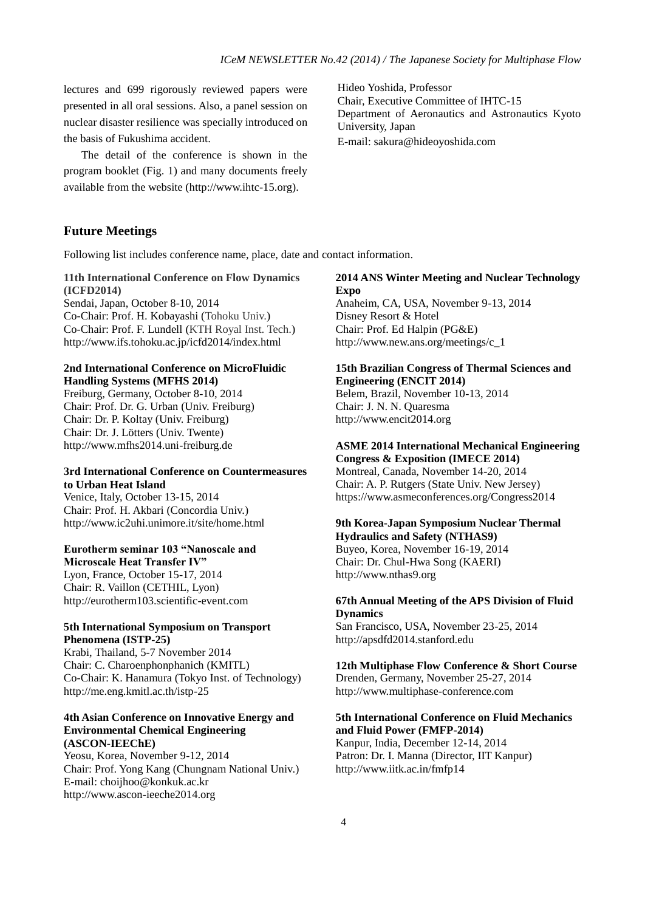lectures and 699 rigorously reviewed papers were presented in all oral sessions. Also, a panel session on nuclear disaster resilience was specially introduced on the basis of Fukushima accident.

The detail of the conference is shown in the program booklet (Fig. 1) and many documents freely available from the website (http://www.ihtc-15.org).

Hideo Yoshida, Professor Chair, Executive Committee of IHTC-15 Department of Aeronautics and Astronautics Kyoto University, Japan E-mail: sakura@hideoyoshida.com

## **Future Meetings**

Following list includes conference name, place, date and contact information.

## **11th International Conference on Flow Dynamics (ICFD2014)**

Sendai, Japan, October 8-10, 2014 Co-Chair: Prof. H. Kobayashi (Tohoku Univ.) Co-Chair: Prof. F. Lundell (KTH Royal Inst. Tech.) http://www.ifs.tohoku.ac.jp/icfd2014/index.html

## **2nd International Conference on MicroFluidic Handling Systems (MFHS 2014)**

Freiburg, Germany, October 8-10, 2014 Chair: Prof. Dr. G. Urban (Univ. Freiburg) Chair: Dr. P. Koltay (Univ. Freiburg) Chair: Dr. J. Lötters (Univ. Twente) http://www.mfhs2014.uni-freiburg.de

## **3rd International Conference on Countermeasures to Urban Heat Island**

Venice, Italy, October 13-15, 2014 Chair: Prof. H. Akbari (Concordia Univ.) http://www.ic2uhi.unimore.it/site/home.html

## **Eurotherm seminar 103 "Nanoscale and**

**Microscale Heat Transfer IV"** Lyon, France, October 15-17, 2014 Chair: R. Vaillon (CETHIL, Lyon) http://eurotherm103.scientific-event.com

#### **5th International Symposium on Transport Phenomena (ISTP-25)**

Krabi, Thailand, 5-7 November 2014 Chair: C. Charoenphonphanich (KMITL) Co-Chair: K. Hanamura (Tokyo Inst. of Technology) http://me.eng.kmitl.ac.th/istp-25

## **4th Asian Conference on Innovative Energy and Environmental Chemical Engineering (ASCON-IEEChE)**

Yeosu, Korea, November 9-12, 2014 Chair: Prof. Yong Kang (Chungnam National Univ.) E-mail: choijhoo@konkuk.ac.kr http://www.ascon-ieeche2014.org

## **2014 ANS Winter Meeting and Nuclear Technology Expo**

Anaheim, CA, USA, November 9-13, 2014 Disney Resort & Hotel Chair: Prof. Ed Halpin (PG&E) http://www.new.ans.org/meetings/c\_1

#### **15th Brazilian Congress of Thermal Sciences and Engineering (ENCIT 2014)**

Belem, Brazil, November 10-13, 2014 Chair: J. N. N. Quaresma [http://www.encit2014.org](http://www.encit2014.org/)

#### **ASME 2014 International Mechanical Engineering Congress & Exposition (IMECE 2014)**

Montreal, Canada, November 14-20, 2014 Chair: A. P. Rutgers (State Univ. New Jersey) https://www.asmeconferences.org/Congress2014

#### **9th Korea-Japan Symposium Nuclear Thermal Hydraulics and Safety (NTHAS9)**

Buyeo, Korea, November 16-19, 2014 Chair: Dr. Chul-Hwa Song (KAERI) http://www.nthas9.org

#### **67th Annual Meeting of the APS Division of Fluid Dynamics**

San Francisco, USA, November 23-25, 2014 http://apsdfd2014.stanford.edu

# **12th Multiphase Flow Conference & Short Course**

Drenden, Germany, November 25-27, 2014 http://www.multiphase-conference.com

## **5th International Conference on Fluid Mechanics and Fluid Power (FMFP-2014)**

Kanpur, India, December 12-14, 2014 Patron: Dr. I. Manna (Director, IIT Kanpur) http://www.iitk.ac.in/fmfp14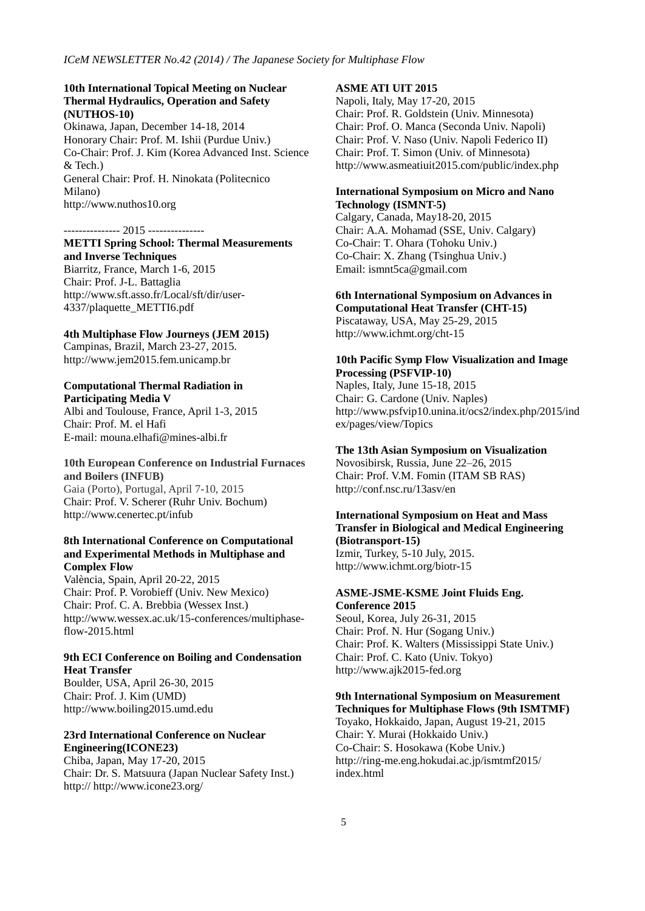#### **10th International Topical Meeting on Nuclear Thermal Hydraulics, Operation and Safety (NUTHOS-10)**

Okinawa, Japan, December 14-18, 2014 Honorary Chair: Prof. M. Ishii (Purdue Univ.) Co-Chair: Prof. J. Kim (Korea Advanced Inst. Science & Tech.) General Chair: Prof. H. Ninokata (Politecnico Milano) http://www.nuthos10.org

#### --------------- 2015 ---------------

**METTI Spring School: Thermal Measurements and Inverse Techniques** Biarritz, France, March 1-6, 2015 Chair: Prof. J-L. Battaglia http://www.sft.asso.fr/Local/sft/dir/user-4337/plaquette\_METTI6.pdf

#### **4th Multiphase Flow Journeys (JEM 2015)**

Campinas, Brazil, March 23-27, 2015. [http://www.jem2015.fem.unicamp.br](http://www.jem2015.fem.unicamp.br/)

#### **Computational Thermal Radiation in Participating Media V**

Albi and Toulouse, France, April 1-3, 2015 Chair: Prof. M. el Hafi E-mail: mouna.elhafi@mines-albi.fr

## **10th European Conference on Industrial Furnaces and Boilers (INFUB)**

Gaia (Porto), Portugal, April 7-10, 2015 Chair: Prof. V. Scherer (Ruhr Univ. Bochum) http://www.cenertec.pt/infub

## **8th International Conference on Computational and Experimental Methods in Multiphase and Complex Flow**

València, Spain, April 20-22, 2015 Chair: Prof. P. Vorobieff (Univ. New Mexico) Chair: Prof. C. A. Brebbia (Wessex Inst.) http://www.wessex.ac.uk/15-conferences/multiphaseflow-2015.html

## **9th ECI Conference on Boiling and Condensation Heat Transfer**

Boulder, USA, April 26-30, 2015 Chair: Prof. J. Kim (UMD) http://www.boiling2015.umd.edu

#### **23rd International Conference on Nuclear Engineering(ICONE23)**

Chiba, Japan, May 17-20, 2015 Chair: Dr. S. Matsuura (Japan Nuclear Safety Inst.) http:// http://www.icone23.org/

## **ASME ATI UIT 2015**

Napoli, Italy, May 17-20, 2015 Chair: Prof. R. Goldstein (Univ. Minnesota) Chair: Prof. O. Manca (Seconda Univ. Napoli) Chair: Prof. V. Naso (Univ. Napoli Federico II) Chair: Prof. T. Simon (Univ. of Minnesota) http://www.asmeatiuit2015.com/public/index.php

#### **International Symposium on Micro and Nano Technology (ISMNT-5)**

Calgary, Canada, May18-20, 2015 Chair: A.A. Mohamad (SSE, Univ. Calgary) Co-Chair: T. Ohara (Tohoku Univ.) Co-Chair: X. Zhang (Tsinghua Univ.) Email: ismnt5ca@gmail.com

#### **6th International Symposium on Advances in Computational Heat Transfer (CHT-15)**

Piscataway, USA, May 25-29, 2015 http://www.ichmt.org/cht-15

#### **10th Pacific Symp Flow Visualization and Image Processing (PSFVIP-10)**

Naples, Italy, June 15-18, 2015 Chair: G. Cardone (Univ. Naples) http://www.psfvip10.unina.it/ocs2/index.php/2015/ind ex/pages/view/Topics

## **The 13th Asian Symposium on Visualization**

Novosibirsk, Russia, June 22–26, 2015 Chair: Prof. V.M. Fomin (ITAM SB RAS) http://conf.nsc.ru/13asv/en

## **International Symposium on Heat and Mass Transfer in Biological and Medical Engineering (Biotransport-15)**

Izmir, Turkey, 5-10 July, 2015. http://www.ichmt.org/biotr-15

#### **ASME-JSME-KSME Joint Fluids Eng. Conference 2015**

Seoul, Korea, July 26-31, 2015 Chair: Prof. N. Hur (Sogang Univ.) Chair: Prof. K. Walters (Mississippi State Univ.) Chair: Prof. C. Kato (Univ. Tokyo) http://www.ajk2015-fed.org

#### **9th International Symposium on Measurement Techniques for Multiphase Flows (9th ISMTMF)**

Toyako, Hokkaido, Japan, August 19-21, 2015 Chair: Y. Murai (Hokkaido Univ.) Co-Chair: S. Hosokawa (Kobe Univ.) http://ring-me.eng.hokudai.ac.jp/ismtmf2015/ index.html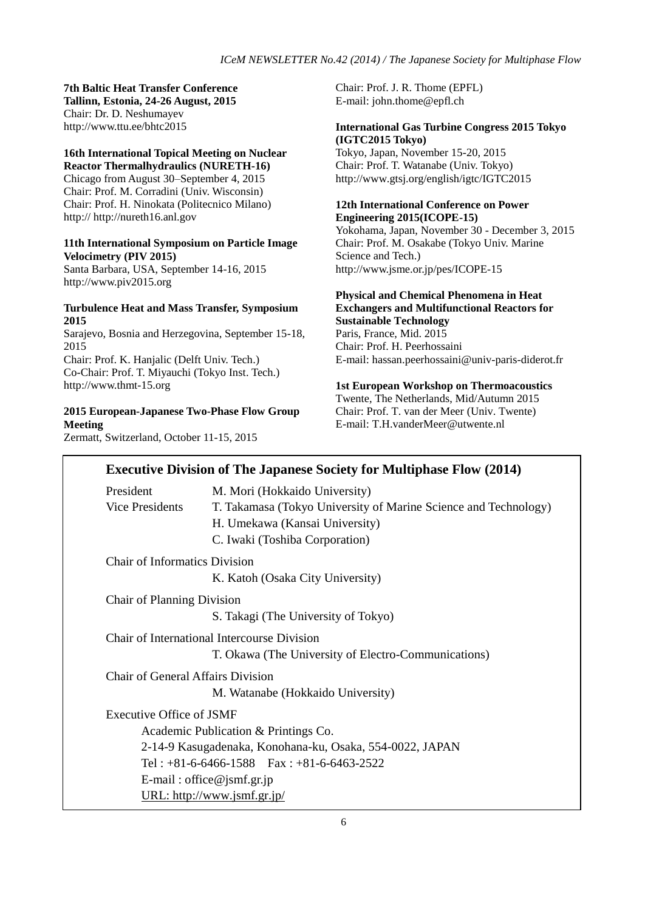**7th Baltic Heat Transfer Conference Tallinn, Estonia, 24-26 August, 2015** Chair: Dr. D. Neshumayev http://www.ttu.ee/bhtc2015

# **16th International Topical Meeting on Nuclear**

**Reactor Thermalhydraulics (NURETH-16)** Chicago from August 30–September 4, 2015 Chair: Prof. M. Corradini (Univ. Wisconsin) Chair: Prof. H. Ninokata (Politecnico Milano) http:// http://nureth16.anl.gov

## **11th International Symposium on Particle Image Velocimetry (PIV 2015)**

Santa Barbara, USA, September 14-16, 2015 http://www.piv2015.org

#### **Turbulence Heat and Mass Transfer, Symposium 2015**

Sarajevo, Bosnia and Herzegovina, September 15-18, 2015 Chair: Prof. K. Hanjalic (Delft Univ. Tech.) Co-Chair: Prof. T. Miyauchi (Tokyo Inst. Tech.) http://www.thmt-15.org

**2015 European-Japanese Two-Phase Flow Group Meeting**

Zermatt, Switzerland, October 11-15, 2015

Chair: Prof. J. R. Thome (EPFL) E-mail: john.thome@epfl.ch

## **International Gas Turbine Congress 2015 Tokyo (IGTC2015 Tokyo)**

Tokyo, Japan, November 15-20, 2015 Chair: Prof. T. Watanabe (Univ. Tokyo) http://www.gtsj.org/english/igtc/IGTC2015

## **12th International Conference on Power Engineering 2015(ICOPE-15)**

Yokohama, Japan, November 30 - December 3, 2015 Chair: Prof. M. Osakabe (Tokyo Univ. Marine Science and Tech.) http://www.jsme.or.jp/pes/ICOPE-15

## **Physical and Chemical Phenomena in Heat Exchangers and Multifunctional Reactors for Sustainable Technology**

Paris, France, Mid. 2015 Chair: Prof. H. Peerhossaini E-mail: hassan.peerhossaini@univ-paris-diderot.fr

**1st European Workshop on Thermoacoustics** Twente, The Netherlands, Mid/Autumn 2015 Chair: Prof. T. van der Meer (Univ. Twente) E-mail: T.H.vanderMeer@utwente.nl

|                                      | <b>Executive Division of The Japanese Society for Multiphase Flow (2014)</b> |
|--------------------------------------|------------------------------------------------------------------------------|
| President                            | M. Mori (Hokkaido University)                                                |
| <b>Vice Presidents</b>               | T. Takamasa (Tokyo University of Marine Science and Technology)              |
|                                      | H. Umekawa (Kansai University)                                               |
|                                      | C. Iwaki (Toshiba Corporation)                                               |
| <b>Chair of Informatics Division</b> |                                                                              |
|                                      | K. Katoh (Osaka City University)                                             |
| Chair of Planning Division           |                                                                              |
|                                      | S. Takagi (The University of Tokyo)                                          |
|                                      | Chair of International Intercourse Division                                  |
|                                      | T. Okawa (The University of Electro-Communications)                          |
| Chair of General Affairs Division    |                                                                              |
|                                      | M. Watanabe (Hokkaido University)                                            |
| <b>Executive Office of JSMF</b>      |                                                                              |
|                                      | Academic Publication & Printings Co.                                         |
|                                      | 2-14-9 Kasugadenaka, Konohana-ku, Osaka, 554-0022, JAPAN                     |
|                                      | Tel: $+81-6-6466-1588$ Fax: $+81-6-6463-2522$                                |
|                                      | E-mail: office@jsmf.gr.jp                                                    |
|                                      | URL: http://www.jsmf.gr.jp/                                                  |